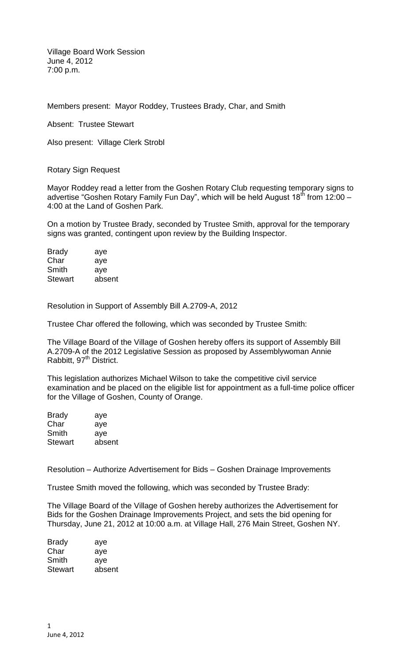Village Board Work Session June 4, 2012 7:00 p.m.

Members present: Mayor Roddey, Trustees Brady, Char, and Smith

Absent: Trustee Stewart

Also present: Village Clerk Strobl

Rotary Sign Request

Mayor Roddey read a letter from the Goshen Rotary Club requesting temporary signs to advertise "Goshen Rotary Family Fun Day", which will be held August  $18<sup>th</sup>$  from 12:00 – 4:00 at the Land of Goshen Park.

On a motion by Trustee Brady, seconded by Trustee Smith, approval for the temporary signs was granted, contingent upon review by the Building Inspector.

| <b>Brady</b>   | aye    |
|----------------|--------|
| Char           | aye    |
| Smith          | aye    |
| <b>Stewart</b> | absent |

Resolution in Support of Assembly Bill A.2709-A, 2012

Trustee Char offered the following, which was seconded by Trustee Smith:

The Village Board of the Village of Goshen hereby offers its support of Assembly Bill A.2709-A of the 2012 Legislative Session as proposed by Assemblywoman Annie Rabbitt, 97<sup>th</sup> District.

This legislation authorizes Michael Wilson to take the competitive civil service examination and be placed on the eligible list for appointment as a full-time police officer for the Village of Goshen, County of Orange.

| aye    |
|--------|
| aye    |
| ave    |
| absent |
|        |

Resolution – Authorize Advertisement for Bids – Goshen Drainage Improvements

Trustee Smith moved the following, which was seconded by Trustee Brady:

The Village Board of the Village of Goshen hereby authorizes the Advertisement for Bids for the Goshen Drainage Improvements Project, and sets the bid opening for Thursday, June 21, 2012 at 10:00 a.m. at Village Hall, 276 Main Street, Goshen NY.

| <b>Brady</b>   | aye    |
|----------------|--------|
| Char           | aye    |
| Smith          | aye    |
| <b>Stewart</b> | absent |